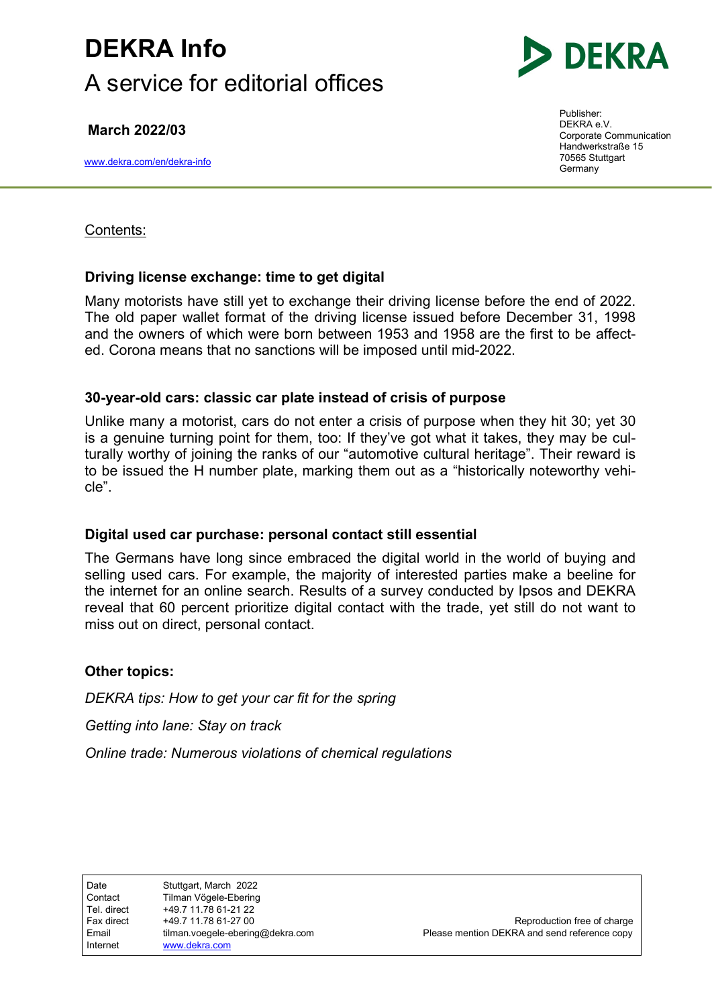# DEKRA Info A service for editorial offices

March 2022/03

www.dekra.com/en/dekra-info



Publisher: DEKRA e.V. Corporate Communication Handwerkstraße 15 70565 Stuttgart Germany

Contents:

### Driving license exchange: time to get digital

Many motorists have still yet to exchange their driving license before the end of 2022. The old paper wallet format of the driving license issued before December 31, 1998 and the owners of which were born between 1953 and 1958 are the first to be affected. Corona means that no sanctions will be imposed until mid-2022.

### 30-year-old cars: classic car plate instead of crisis of purpose

Unlike many a motorist, cars do not enter a crisis of purpose when they hit 30; yet 30 is a genuine turning point for them, too: If they've got what it takes, they may be culturally worthy of joining the ranks of our "automotive cultural heritage". Their reward is to be issued the H number plate, marking them out as a "historically noteworthy vehicle".

### Digital used car purchase: personal contact still essential

The Germans have long since embraced the digital world in the world of buying and selling used cars. For example, the majority of interested parties make a beeline for the internet for an online search. Results of a survey conducted by Ipsos and DEKRA reveal that 60 percent prioritize digital contact with the trade, yet still do not want to miss out on direct, personal contact.

### Other topics:

DEKRA tips: How to get your car fit for the spring

Getting into lane: Stay on track

Online trade: Numerous violations of chemical regulations

Date **Stuttgart, March 2022** Contact Tilman Vögele-Ebering Tel. direct +49.7 11.78 61-21 22 Fax direct  $+49.7 11.78 61-27 00$  Reproduction free of charge Email tilman.voegele-ebering@dekra.com Please mention DEKRA and send reference copy Internet www.dekra.com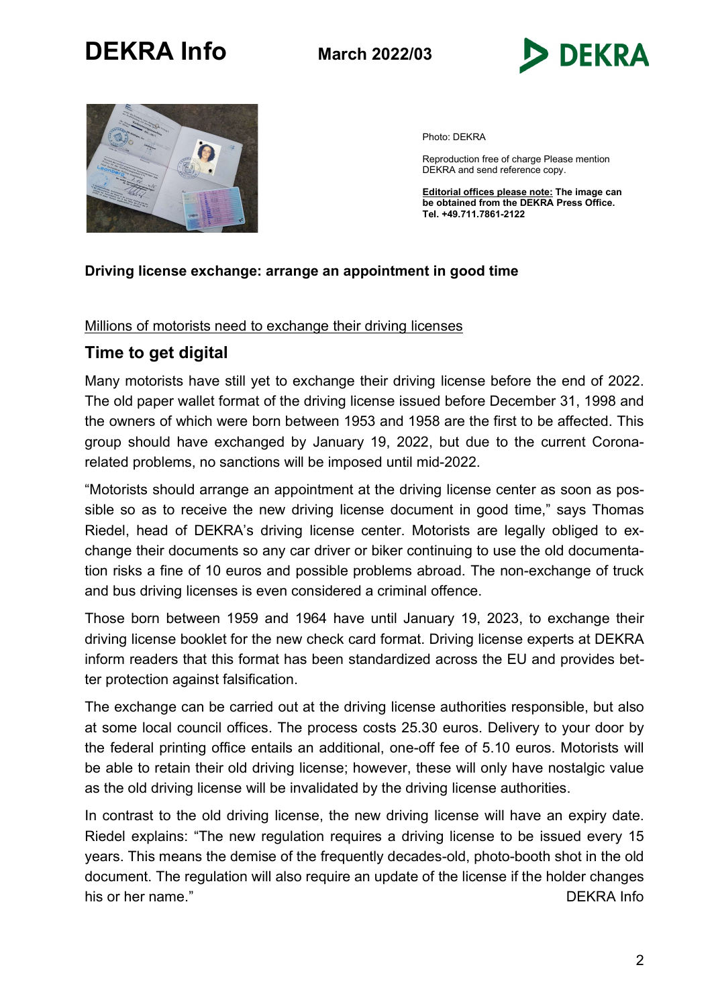



Photo: DEKRA

Reproduction free of charge Please mention DEKRA and send reference copy.

Editorial offices please note: The image can be obtained from the DEKRA Press Office. Tel. +49.711.7861-2122

### Driving license exchange: arrange an appointment in good time

#### Millions of motorists need to exchange their driving licenses

### Time to get digital

Many motorists have still yet to exchange their driving license before the end of 2022. The old paper wallet format of the driving license issued before December 31, 1998 and the owners of which were born between 1953 and 1958 are the first to be affected. This group should have exchanged by January 19, 2022, but due to the current Coronarelated problems, no sanctions will be imposed until mid-2022.

"Motorists should arrange an appointment at the driving license center as soon as possible so as to receive the new driving license document in good time," says Thomas Riedel, head of DEKRA's driving license center. Motorists are legally obliged to exchange their documents so any car driver or biker continuing to use the old documentation risks a fine of 10 euros and possible problems abroad. The non-exchange of truck and bus driving licenses is even considered a criminal offence.

Those born between 1959 and 1964 have until January 19, 2023, to exchange their driving license booklet for the new check card format. Driving license experts at DEKRA inform readers that this format has been standardized across the EU and provides better protection against falsification.

The exchange can be carried out at the driving license authorities responsible, but also at some local council offices. The process costs 25.30 euros. Delivery to your door by the federal printing office entails an additional, one-off fee of 5.10 euros. Motorists will be able to retain their old driving license; however, these will only have nostalgic value as the old driving license will be invalidated by the driving license authorities.

In contrast to the old driving license, the new driving license will have an expiry date. Riedel explains: "The new regulation requires a driving license to be issued every 15 years. This means the demise of the frequently decades-old, photo-booth shot in the old document. The regulation will also require an update of the license if the holder changes his or her name." DEKRA Info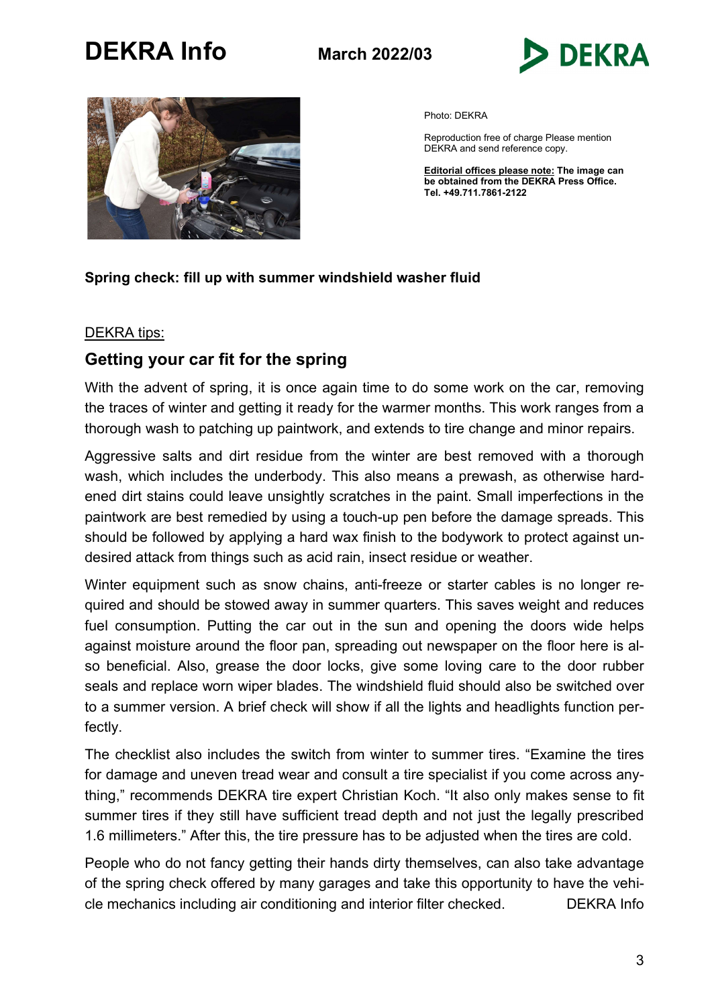



Photo: DEKRA

Reproduction free of charge Please mention DEKRA and send reference copy.

Editorial offices please note: The image can be obtained from the DEKRA Press Office. Tel. +49.711.7861-2122

### Spring check: fill up with summer windshield washer fluid

#### DEKRA tips:

## Getting your car fit for the spring

With the advent of spring, it is once again time to do some work on the car, removing the traces of winter and getting it ready for the warmer months. This work ranges from a thorough wash to patching up paintwork, and extends to tire change and minor repairs.

Aggressive salts and dirt residue from the winter are best removed with a thorough wash, which includes the underbody. This also means a prewash, as otherwise hardened dirt stains could leave unsightly scratches in the paint. Small imperfections in the paintwork are best remedied by using a touch-up pen before the damage spreads. This should be followed by applying a hard wax finish to the bodywork to protect against undesired attack from things such as acid rain, insect residue or weather.

Winter equipment such as snow chains, anti-freeze or starter cables is no longer required and should be stowed away in summer quarters. This saves weight and reduces fuel consumption. Putting the car out in the sun and opening the doors wide helps against moisture around the floor pan, spreading out newspaper on the floor here is also beneficial. Also, grease the door locks, give some loving care to the door rubber seals and replace worn wiper blades. The windshield fluid should also be switched over to a summer version. A brief check will show if all the lights and headlights function perfectly.

The checklist also includes the switch from winter to summer tires. "Examine the tires for damage and uneven tread wear and consult a tire specialist if you come across anything," recommends DEKRA tire expert Christian Koch. "It also only makes sense to fit summer tires if they still have sufficient tread depth and not just the legally prescribed 1.6 millimeters." After this, the tire pressure has to be adjusted when the tires are cold.

People who do not fancy getting their hands dirty themselves, can also take advantage of the spring check offered by many garages and take this opportunity to have the vehicle mechanics including air conditioning and interior filter checked. DEKRA Info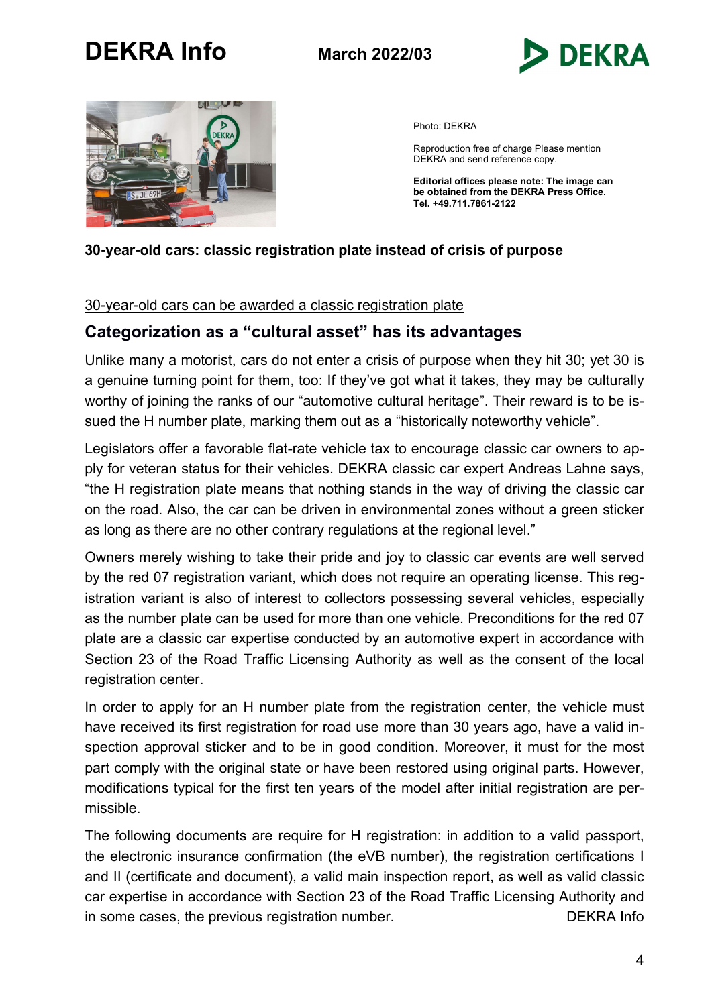



Photo: DEKRA

Reproduction free of charge Please mention DEKRA and send reference copy.

Editorial offices please note: The image can **be obtained from the DEKRA Press Office.** Tel. +49.711.7861-2122

### 30-year-old cars: classic registration plate instead of crisis of purpose

### 30-year-old cars can be awarded a classic registration plate

### Categorization as a "cultural asset" has its advantages

Unlike many a motorist, cars do not enter a crisis of purpose when they hit 30; yet 30 is a genuine turning point for them, too: If they've got what it takes, they may be culturally worthy of joining the ranks of our "automotive cultural heritage". Their reward is to be issued the H number plate, marking them out as a "historically noteworthy vehicle".

Legislators offer a favorable flat-rate vehicle tax to encourage classic car owners to apply for veteran status for their vehicles. DEKRA classic car expert Andreas Lahne says, "the H registration plate means that nothing stands in the way of driving the classic car on the road. Also, the car can be driven in environmental zones without a green sticker as long as there are no other contrary regulations at the regional level."

Owners merely wishing to take their pride and joy to classic car events are well served by the red 07 registration variant, which does not require an operating license. This registration variant is also of interest to collectors possessing several vehicles, especially as the number plate can be used for more than one vehicle. Preconditions for the red 07 plate are a classic car expertise conducted by an automotive expert in accordance with Section 23 of the Road Traffic Licensing Authority as well as the consent of the local registration center.

In order to apply for an H number plate from the registration center, the vehicle must have received its first registration for road use more than 30 years ago, have a valid inspection approval sticker and to be in good condition. Moreover, it must for the most part comply with the original state or have been restored using original parts. However, modifications typical for the first ten years of the model after initial registration are permissible.

The following documents are require for H registration: in addition to a valid passport, the electronic insurance confirmation (the eVB number), the registration certifications I and II (certificate and document), a valid main inspection report, as well as valid classic car expertise in accordance with Section 23 of the Road Traffic Licensing Authority and in some cases, the previous registration number. DEXRA Info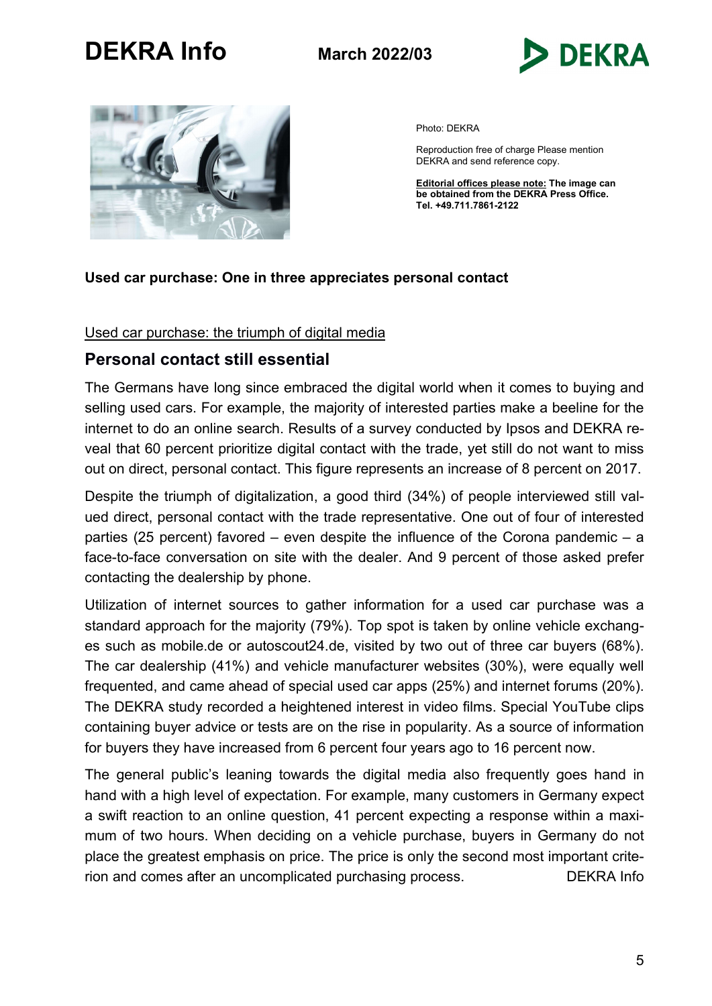



Photo: DEKRA

Reproduction free of charge Please mention DEKRA and send reference copy.

Editorial offices please note: The image can be obtained from the DEKRA Press Office. Tel. +49.711.7861-2122

### Used car purchase: One in three appreciates personal contact

#### Used car purchase: the triumph of digital media

### Personal contact still essential

The Germans have long since embraced the digital world when it comes to buying and selling used cars. For example, the majority of interested parties make a beeline for the internet to do an online search. Results of a survey conducted by Ipsos and DEKRA reveal that 60 percent prioritize digital contact with the trade, yet still do not want to miss out on direct, personal contact. This figure represents an increase of 8 percent on 2017.

Despite the triumph of digitalization, a good third (34%) of people interviewed still valued direct, personal contact with the trade representative. One out of four of interested parties (25 percent) favored – even despite the influence of the Corona pandemic – a face-to-face conversation on site with the dealer. And 9 percent of those asked prefer contacting the dealership by phone.

Utilization of internet sources to gather information for a used car purchase was a standard approach for the majority (79%). Top spot is taken by online vehicle exchanges such as mobile.de or autoscout24.de, visited by two out of three car buyers (68%). The car dealership (41%) and vehicle manufacturer websites (30%), were equally well frequented, and came ahead of special used car apps (25%) and internet forums (20%). The DEKRA study recorded a heightened interest in video films. Special YouTube clips containing buyer advice or tests are on the rise in popularity. As a source of information for buyers they have increased from 6 percent four years ago to 16 percent now.

The general public's leaning towards the digital media also frequently goes hand in hand with a high level of expectation. For example, many customers in Germany expect a swift reaction to an online question, 41 percent expecting a response within a maximum of two hours. When deciding on a vehicle purchase, buyers in Germany do not place the greatest emphasis on price. The price is only the second most important criterion and comes after an uncomplicated purchasing process. DEKRA Info